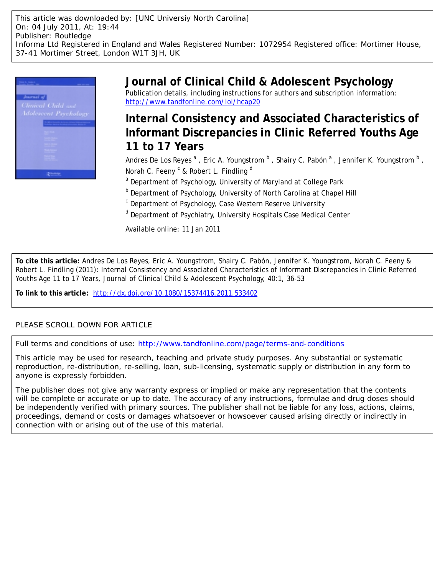This article was downloaded by: [UNC Universiy North Carolina] On: 04 July 2011, At: 19:44 Publisher: Routledge Informa Ltd Registered in England and Wales Registered Number: 1072954 Registered office: Mortimer House, 37-41 Mortimer Street, London W1T 3JH, UK



# **Journal of Clinical Child & Adolescent Psychology**

Publication details, including instructions for authors and subscription information: <http://www.tandfonline.com/loi/hcap20>

## **Internal Consistency and Associated Characteristics of Informant Discrepancies in Clinic Referred Youths Age 11 to 17 Years**

Andres De Los Reyes <sup>a</sup>, Eric A. Youngstrom  $^{\text{b}}$ , Shairy C. Pabón <sup>a</sup>, Jennifer K. Youngstrom  $^{\text{b}}$ , Norah C. Feeny <sup>c</sup> & Robert L. Findling <sup>d</sup>

<sup>a</sup> Department of Psychology, University of Maryland at College Park

<sup>b</sup> Department of Psychology, University of North Carolina at Chapel Hill

<sup>c</sup> Department of Psychology, Case Western Reserve University

<sup>d</sup> Department of Psychiatry, University Hospitals Case Medical Center

Available online: 11 Jan 2011

**To cite this article:** Andres De Los Reyes, Eric A. Youngstrom, Shairy C. Pabón, Jennifer K. Youngstrom, Norah C. Feeny & Robert L. Findling (2011): Internal Consistency and Associated Characteristics of Informant Discrepancies in Clinic Referred Youths Age 11 to 17 Years, Journal of Clinical Child & Adolescent Psychology, 40:1, 36-53

**To link to this article:** <http://dx.doi.org/10.1080/15374416.2011.533402>

## PLEASE SCROLL DOWN FOR ARTICLE

Full terms and conditions of use:<http://www.tandfonline.com/page/terms-and-conditions>

This article may be used for research, teaching and private study purposes. Any substantial or systematic reproduction, re-distribution, re-selling, loan, sub-licensing, systematic supply or distribution in any form to anyone is expressly forbidden.

The publisher does not give any warranty express or implied or make any representation that the contents will be complete or accurate or up to date. The accuracy of any instructions, formulae and drug doses should be independently verified with primary sources. The publisher shall not be liable for any loss, actions, claims, proceedings, demand or costs or damages whatsoever or howsoever caused arising directly or indirectly in connection with or arising out of the use of this material.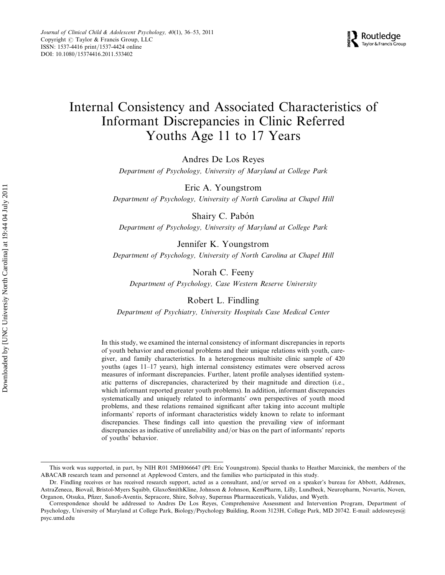## Internal Consistency and Associated Characteristics of Informant Discrepancies in Clinic Referred Youths Age 11 to 17 Years

Andres De Los Reyes

Department of Psychology, University of Maryland at College Park

Eric A. Youngstrom

Department of Psychology, University of North Carolina at Chapel Hill

Shairy C. Pabón

Department of Psychology, University of Maryland at College Park

Jennifer K. Youngstrom

Department of Psychology, University of North Carolina at Chapel Hill

Norah C. Feeny

Department of Psychology, Case Western Reserve University

Robert L. Findling

Department of Psychiatry, University Hospitals Case Medical Center

In this study, we examined the internal consistency of informant discrepancies in reports of youth behavior and emotional problems and their unique relations with youth, caregiver, and family characteristics. In a heterogeneous multisite clinic sample of 420 youths (ages 11–17 years), high internal consistency estimates were observed across measures of informant discrepancies. Further, latent profile analyses identified systematic patterns of discrepancies, characterized by their magnitude and direction (i.e., which informant reported greater youth problems). In addition, informant discrepancies systematically and uniquely related to informants' own perspectives of youth mood problems, and these relations remained significant after taking into account multiple informants' reports of informant characteristics widely known to relate to informant discrepancies. These findings call into question the prevailing view of informant discrepancies as indicative of unreliability and/or bias on the part of informants' reports of youths' behavior.

This work was supported, in part, by NIH R01 5MH066647 (PI: Eric Youngstrom). Special thanks to Heather Marcinick, the members of the ABACAB research team and personnel at Applewood Centers, and the families who participated in this study.

Dr. Findling receives or has received research support, acted as a consultant, and/or served on a speaker's bureau for Abbott, Addrenex, AstraZeneca, Biovail, Bristol-Myers Squibb, GlaxoSmithKline, Johnson & Johnson, KemPharm, Lilly, Lundbeck, Neuropharm, Novartis, Noven, Organon, Otsuka, Pfizer, Sanofi-Aventis, Sepracore, Shire, Solvay, Supernus Pharmaceuticals, Validus, and Wyeth.

Correspondence should be addressed to Andres De Los Reyes, Comprehensive Assessment and Intervention Program, Department of Psychology, University of Maryland at College Park, Biology/Psychology Building, Room 3123H, College Park, MD 20742. E-mail: adelosreyes@ psyc.umd.edu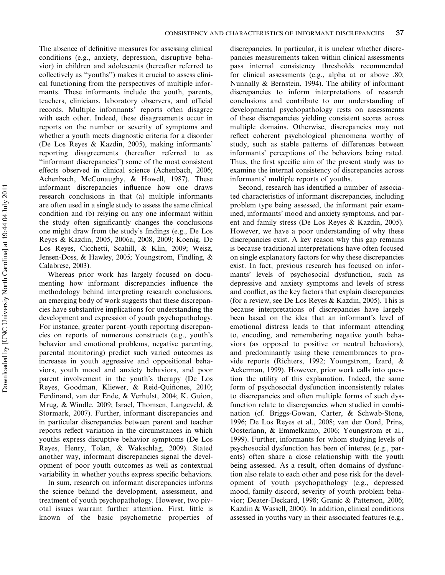The absence of definitive measures for assessing clinical conditions (e.g., anxiety, depression, disruptive behavior) in children and adolescents (hereafter referred to collectively as ''youths'') makes it crucial to assess clinical functioning from the perspectives of multiple informants. These informants include the youth, parents, teachers, clinicians, laboratory observers, and official records. Multiple informants' reports often disagree with each other. Indeed, these disagreements occur in reports on the number or severity of symptoms and whether a youth meets diagnostic criteria for a disorder (De Los Reyes & Kazdin, 2005), making informants' reporting disagreements (hereafter referred to as ''informant discrepancies'') some of the most consistent effects observed in clinical science (Achenbach, 2006; Achenbach, McConaughy, & Howell, 1987). These informant discrepancies influence how one draws research conclusions in that (a) multiple informants are often used in a single study to assess the same clinical condition and (b) relying on any one informant within the study often significantly changes the conclusions one might draw from the study's findings (e.g., De Los Reyes & Kazdin, 2005, 2006a, 2008, 2009; Koenig, De Los Reyes, Cicchetti, Scahill, & Klin, 2009; Weisz, Jensen-Doss, & Hawley, 2005; Youngstrom, Findling, & Calabrese, 2003).

Whereas prior work has largely focused on documenting how informant discrepancies influence the methodology behind interpreting research conclusions, an emerging body of work suggests that these discrepancies have substantive implications for understanding the development and expression of youth psychopathology. For instance, greater parent–youth reporting discrepancies on reports of numerous constructs (e.g., youth's behavior and emotional problems, negative parenting, parental monitoring) predict such varied outcomes as increases in youth aggressive and oppositional behaviors, youth mood and anxiety behaviors, and poor parent involvement in the youth's therapy (De Los Reyes, Goodman, Kliewer, & Reid-Quiñones, 2010; Ferdinand, van der Ende, & Verhulst, 2004; K. Guion, Mrug, & Windle, 2009; Israel, Thomsen, Langeveld, & Stormark, 2007). Further, informant discrepancies and in particular discrepancies between parent and teacher reports reflect variation in the circumstances in which youths express disruptive behavior symptoms (De Los Reyes, Henry, Tolan, & Wakschlag, 2009). Stated another way, informant discrepancies signal the development of poor youth outcomes as well as contextual variability in whether youths express specific behaviors.

In sum, research on informant discrepancies informs the science behind the development, assessment, and treatment of youth psychopathology. However, two pivotal issues warrant further attention. First, little is known of the basic psychometric properties of discrepancies. In particular, it is unclear whether discrepancies measurements taken within clinical assessments pass internal consistency thresholds recommended for clinical assessments (e.g., alpha at or above .80; Nunnally & Bernstein, 1994). The ability of informant discrepancies to inform interpretations of research conclusions and contribute to our understanding of developmental psychopathology rests on assessments of these discrepancies yielding consistent scores across multiple domains. Otherwise, discrepancies may not reflect coherent psychological phenomena worthy of study, such as stable patterns of differences between informants' perceptions of the behaviors being rated. Thus, the first specific aim of the present study was to examine the internal consistency of discrepancies across informants' multiple reports of youths.

Second, research has identified a number of associated characteristics of informant discrepancies, including problem type being assessed, the informant pair examined, informants' mood and anxiety symptoms, and parent and family stress (De Los Reyes & Kazdin, 2005). However, we have a poor understanding of why these discrepancies exist. A key reason why this gap remains is because traditional interpretations have often focused on single explanatory factors for why these discrepancies exist. In fact, previous research has focused on informants' levels of psychosocial dysfunction, such as depressive and anxiety symptoms and levels of stress and conflict, as the key factors that explain discrepancies (for a review, see De Los Reyes & Kazdin, 2005). This is because interpretations of discrepancies have largely been based on the idea that an informant's level of emotional distress leads to that informant attending to, encoding, and remembering negative youth behaviors (as opposed to positive or neutral behaviors), and predominantly using these remembrances to provide reports (Richters, 1992; Youngstrom, Izard, & Ackerman, 1999). However, prior work calls into question the utility of this explanation. Indeed, the same form of psychosocial dysfunction inconsistently relates to discrepancies and often multiple forms of such dysfunction relate to discrepancies when studied in combination (cf. Briggs-Gowan, Carter, & Schwab-Stone, 1996; De Los Reyes et al., 2008; van der Oord, Prins, Oosterlann, & Emmelkamp, 2006; Youngstrom et al., 1999). Further, informants for whom studying levels of psychosocial dysfunction has been of interest (e.g., parents) often share a close relationship with the youth being assessed. As a result, often domains of dysfunction also relate to each other and pose risk for the development of youth psychopathology (e.g., depressed mood, family discord, severity of youth problem behavior; Deater-Deckard, 1998; Granic & Patterson, 2006; Kazdin & Wassell, 2000). In addition, clinical conditions assessed in youths vary in their associated features (e.g.,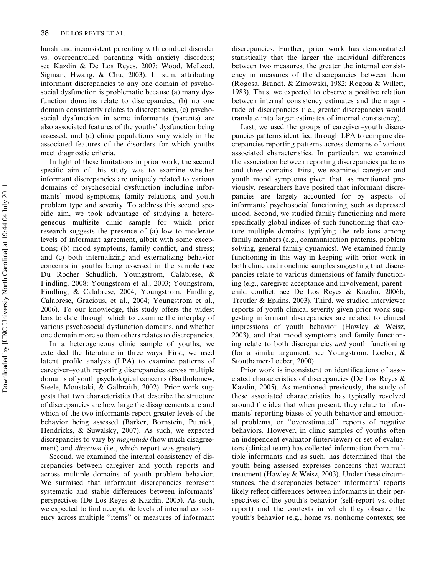harsh and inconsistent parenting with conduct disorder vs. overcontrolled parenting with anxiety disorders; see Kazdin & De Los Reyes, 2007; Wood, McLeod, Sigman, Hwang, & Chu, 2003). In sum, attributing informant discrepancies to any one domain of psychosocial dysfunction is problematic because (a) many dysfunction domains relate to discrepancies, (b) no one domain consistently relates to discrepancies, (c) psychosocial dysfunction in some informants (parents) are also associated features of the youths' dysfunction being assessed, and (d) clinic populations vary widely in the associated features of the disorders for which youths meet diagnostic criteria.

In light of these limitations in prior work, the second specific aim of this study was to examine whether informant discrepancies are uniquely related to various domains of psychosocial dysfunction including informants' mood symptoms, family relations, and youth problem type and severity. To address this second specific aim, we took advantage of studying a heterogeneous multisite clinic sample for which prior research suggests the presence of (a) low to moderate levels of informant agreement, albeit with some exceptions; (b) mood symptoms, family conflict, and stress; and (c) both internalizing and externalizing behavior concerns in youths being assessed in the sample (see Du Rocher Schudlich, Youngstrom, Calabrese, & Findling, 2008; Youngstrom et al., 2003; Youngstrom, Findling, & Calabrese, 2004; Youngstrom, Findling, Calabrese, Gracious, et al., 2004; Youngstrom et al., 2006). To our knowledge, this study offers the widest lens to date through which to examine the interplay of various psychosocial dysfunction domains, and whether one domain more so than others relates to discrepancies.

In a heterogeneous clinic sample of youths, we extended the literature in three ways. First, we used latent profile analysis (LPA) to examine patterns of caregiver–youth reporting discrepancies across multiple domains of youth psychological concerns (Bartholomew, Steele, Moustaki, & Galbraith, 2002). Prior work suggests that two characteristics that describe the structure of discrepancies are how large the disagreements are and which of the two informants report greater levels of the behavior being assessed (Barker, Bornstein, Putnick, Hendricks, & Suwalsky, 2007). As such, we expected discrepancies to vary by *magnitude* (how much disagreement) and *direction* (i.e., which report was greater).

Second, we examined the internal consistency of discrepancies between caregiver and youth reports and across multiple domains of youth problem behavior. We surmised that informant discrepancies represent systematic and stable differences between informants' perspectives (De Los Reyes & Kazdin, 2005). As such, we expected to find acceptable levels of internal consistency across multiple ''items'' or measures of informant discrepancies. Further, prior work has demonstrated statistically that the larger the individual differences between two measures, the greater the internal consistency in measures of the discrepancies between them (Rogosa, Brandt, & Zimowski, 1982; Rogosa & Willett, 1983). Thus, we expected to observe a positive relation between internal consistency estimates and the magnitude of discrepancies (i.e., greater discrepancies would translate into larger estimates of internal consistency).

Last, we used the groups of caregiver–youth discrepancies patterns identified through LPA to compare discrepancies reporting patterns across domains of various associated characteristics. In particular, we examined the association between reporting discrepancies patterns and three domains. First, we examined caregiver and youth mood symptoms given that, as mentioned previously, researchers have posited that informant discrepancies are largely accounted for by aspects of informants' psychosocial functioning, such as depressed mood. Second, we studied family functioning and more specifically global indices of such functioning that capture multiple domains typifying the relations among family members (e.g., communication patterns, problem solving, general family dynamics). We examined family functioning in this way in keeping with prior work in both clinic and nonclinic samples suggesting that discrepancies relate to various dimensions of family functioning (e.g., caregiver acceptance and involvement, parent– child conflict; see De Los Reyes & Kazdin, 2006b; Treutler & Epkins, 2003). Third, we studied interviewer reports of youth clinical severity given prior work suggesting informant discrepancies are related to clinical impressions of youth behavior (Hawley & Weisz, 2003), and that mood symptoms and family functioning relate to both discrepancies and youth functioning (for a similar argument, see Youngstrom, Loeber, & Stouthamer-Loeber, 2000).

Prior work is inconsistent on identifications of associated characteristics of discrepancies (De Los Reyes & Kazdin, 2005). As mentioned previously, the study of these associated characteristics has typically revolved around the idea that when present, they relate to informants' reporting biases of youth behavior and emotional problems, or ''overestimated'' reports of negative behaviors. However, in clinic samples of youths often an independent evaluator (interviewer) or set of evaluators (clinical team) has collected information from multiple informants and as such, has determined that the youth being assessed expresses concerns that warrant treatment (Hawley & Weisz, 2003). Under these circumstances, the discrepancies between informants' reports likely reflect differences between informants in their perspectives of the youth's behavior (self-report vs. other report) and the contexts in which they observe the youth's behavior (e.g., home vs. nonhome contexts; see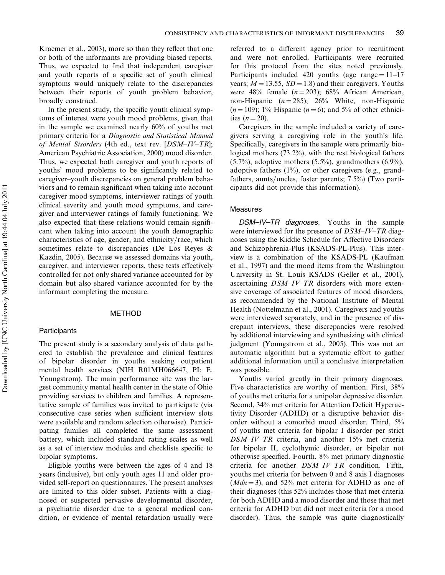Kraemer et al., 2003), more so than they reflect that one or both of the informants are providing biased reports. Thus, we expected to find that independent caregiver and youth reports of a specific set of youth clinical symptoms would uniquely relate to the discrepancies between their reports of youth problem behavior, broadly construed.

In the present study, the specific youth clinical symptoms of interest were youth mood problems, given that in the sample we examined nearly 60% of youths met primary criteria for a Diagnostic and Statistical Manual of Mental Sisorders (4th ed., text rev. [DSM–IV–TR]; American Psychiatric Association, 2000) mood disorder. Thus, we expected both caregiver and youth reports of youths' mood problems to be significantly related to caregiver–youth discrepancies on general problem behaviors and to remain significant when taking into account caregiver mood symptoms, interviewer ratings of youth clinical severity and youth mood symptoms, and caregiver and interviewer ratings of family functioning. We also expected that these relations would remain significant when taking into account the youth demographic characteristics of age, gender, and ethnicity/race, which sometimes relate to discrepancies (De Los Reyes & Kazdin, 2005). Because we assessed domains via youth, caregiver, and interviewer reports, these tests effectively controlled for not only shared variance accounted for by domain but also shared variance accounted for by the informant completing the measure.

#### METHOD

#### **Participants**

The present study is a secondary analysis of data gathered to establish the prevalence and clinical features of bipolar disorder in youths seeking outpatient mental health services (NIH R01MH066647, PI: E. Youngstrom). The main performance site was the largest community mental health center in the state of Ohio providing services to children and families. A representative sample of families was invited to participate (via consecutive case series when sufficient interview slots were available and random selection otherwise). Participating families all completed the same assessment battery, which included standard rating scales as well as a set of interview modules and checklists specific to bipolar symptoms.

Eligible youths were between the ages of 4 and 18 years (inclusive), but only youth ages 11 and older provided self-report on questionnaires. The present analyses are limited to this older subset. Patients with a diagnosed or suspected pervasive developmental disorder, a psychiatric disorder due to a general medical condition, or evidence of mental retardation usually were referred to a different agency prior to recruitment and were not enrolled. Participants were recruited for this protocol from the sites noted previously. Participants included 420 youths (age range  $= 11-17$ years;  $M = 13.55$ ,  $SD = 1.8$ ) and their caregivers. Youths were 48% female  $(n = 203)$ ; 68% African American, non-Hispanic  $(n = 285)$ ; 26% White, non-Hispanic  $(n = 109)$ ; 1% Hispanic  $(n = 6)$ ; and 5% of other ethnicities  $(n = 20)$ .

Caregivers in the sample included a variety of caregivers serving a caregiving role in the youth's life. Specifically, caregivers in the sample were primarily biological mothers (73.2%), with the rest biological fathers  $(5.7\%)$ , adoptive mothers  $(5.5\%)$ , grandmothers  $(6.9\%)$ , adoptive fathers  $(1\%)$ , or other caregivers (e.g., grandfathers, aunts/uncles, foster parents;  $7.5\%$ ) (Two participants did not provide this information).

#### Measures

DSM-IV–TR diagnoses. Youths in the sample were interviewed for the presence of  $DSM-IV-TR$  diagnoses using the Kiddie Schedule for Affective Disorders and Schizophrenia-Plus (KSADS-PL-Plus). This interview is a combination of the KSADS-PL (Kaufman et al., 1997) and the mood items from the Washington University in St. Louis KSADS (Geller et al., 2001), ascertaining DSM–IV–TR disorders with more extensive coverage of associated features of mood disorders, as recommended by the National Institute of Mental Health (Nottelmann et al., 2001). Caregivers and youths were interviewed separately, and in the presence of discrepant interviews, these discrepancies were resolved by additional interviewing and synthesizing with clinical judgment (Youngstrom et al., 2005). This was not an automatic algorithm but a systematic effort to gather additional information until a conclusive interpretation was possible.

Youths varied greatly in their primary diagnoses. Five characteristics are worthy of mention. First,  $38\%$ of youths met criteria for a unipolar depressive disorder. Second, 34% met criteria for Attention Deficit Hyperactivity Disorder (ADHD) or a disruptive behavior disorder without a comorbid mood disorder. Third, 5% of youths met criteria for bipolar I disorder per strict DSM–IV–TR criteria, and another 15% met criteria for bipolar II, cyclothymic disorder, or bipolar not otherwise specified. Fourth, 8% met primary diagnostic criteria for another DSM–IV–TR condition. Fifth, youths met criteria for between 0 and 8 axis I diagnoses  $(Mdn = 3)$ , and 52% met criteria for ADHD as one of their diagnoses (this 52% includes those that met criteria for both ADHD and a mood disorder and those that met criteria for ADHD but did not meet criteria for a mood disorder). Thus, the sample was quite diagnostically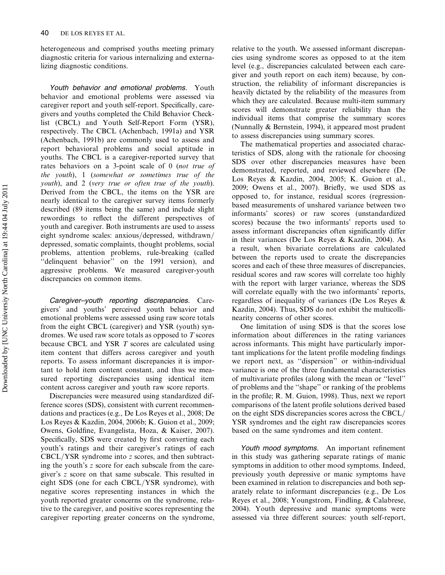heterogeneous and comprised youths meeting primary diagnostic criteria for various internalizing and externalizing diagnostic conditions.

Youth behavior and emotional problems. Youth behavior and emotional problems were assessed via caregiver report and youth self-report. Specifically, caregivers and youths completed the Child Behavior Checklist (CBCL) and Youth Self-Report Form (YSR), respectively. The CBCL (Achenbach, 1991a) and YSR (Achenbach, 1991b) are commonly used to assess and report behavioral problems and social aptitude in youths. The CBCL is a caregiver-reported survey that rates behaviors on a 3-point scale of 0 (not true of the youth), 1 (somewhat or sometimes true of the youth), and 2 (very true or often true of the youth). Derived from the CBCL, the items on the YSR are nearly identical to the caregiver survey items formerly described (89 items being the same) and include slight rewordings to reflect the different perspectives of youth and caregiver. Both instruments are used to assess eight syndrome scales: anxious/depressed, withdrawn/ depressed, somatic complaints, thought problems, social problems, attention problems, rule-breaking (called ''delinquent behavior'' on the 1991 version), and aggressive problems. We measured caregiver-youth discrepancies on common items.

Caregiver–youth reporting discrepancies. Caregivers' and youths' perceived youth behavior and emotional problems were assessed using raw score totals from the eight CBCL (caregiver) and YSR (youth) syndromes. We used raw score totals as opposed to  $T$  scores because CBCL and YSR T scores are calculated using item content that differs across caregiver and youth reports. To assess informant discrepancies it is important to hold item content constant, and thus we measured reporting discrepancies using identical item content across caregiver and youth raw score reports.

Discrepancies were measured using standardized difference scores (SDS), consistent with current recommendations and practices (e.g., De Los Reyes et al., 2008; De Los Reyes & Kazdin, 2004, 2006b; K. Guion et al., 2009; Owens, Goldfine, Evangelista, Hoza, & Kaiser, 2007). Specifically, SDS were created by first converting each youth's ratings and their caregiver's ratings of each  $CBCL/YSR$  syndrome into z scores, and then subtracting the youth's z score for each subscale from the caregiver's z score on that same subscale. This resulted in eight SDS (one for each CBCL/YSR syndrome), with negative scores representing instances in which the youth reported greater concerns on the syndrome, relative to the caregiver, and positive scores representing the caregiver reporting greater concerns on the syndrome,

relative to the youth. We assessed informant discrepancies using syndrome scores as opposed to at the item level (e.g., discrepancies calculated between each caregiver and youth report on each item) because, by construction, the reliability of informant discrepancies is heavily dictated by the reliability of the measures from which they are calculated. Because multi-item summary scores will demonstrate greater reliability than the individual items that comprise the summary scores (Nunnally & Bernstein, 1994), it appeared most prudent to assess discrepancies using summary scores.

The mathematical properties and associated characteristics of SDS, along with the rationale for choosing SDS over other discrepancies measures have been demonstrated, reported, and reviewed elsewhere (De Los Reyes & Kazdin, 2004, 2005; K. Guion et al., 2009; Owens et al., 2007). Briefly, we used SDS as opposed to, for instance, residual scores (regressionbased measurements of unshared variance between two informants' scores) or raw scores (unstandardized scores) because the two informants' reports used to assess informant discrepancies often significantly differ in their variances (De Los Reyes & Kazdin, 2004). As a result, when bivariate correlations are calculated between the reports used to create the discrepancies scores and each of these three measures of discrepancies, residual scores and raw scores will correlate too highly with the report with larger variance, whereas the SDS will correlate equally with the two informants' reports, regardless of inequality of variances (De Los Reyes & Kazdin, 2004). Thus, SDS do not exhibit the multicollinearity concerns of other scores.

One limitation of using SDS is that the scores lose information about differences in the rating variances across informants. This might have particularly important implications for the latent profile modeling findings we report next, as ''dispersion'' or within-individual variance is one of the three fundamental characteristics of multivariate profiles (along with the mean or ''level'' of problems and the ''shape'' or ranking of the problems in the profile; R. M. Guion, 1998). Thus, next we report comparisons of the latent profile solutions derived based on the eight SDS discrepancies scores across the CBCL/ YSR syndromes and the eight raw discrepancies scores based on the same syndromes and item content.

Youth mood symptoms. An important refinement in this study was gathering separate ratings of manic symptoms in addition to other mood symptoms. Indeed, previously youth depressive or manic symptoms have been examined in relation to discrepancies and both separately relate to informant discrepancies (e.g., De Los Reyes et al., 2008; Youngstrom, Findling, & Calabrese, 2004). Youth depressive and manic symptoms were assessed via three different sources: youth self-report,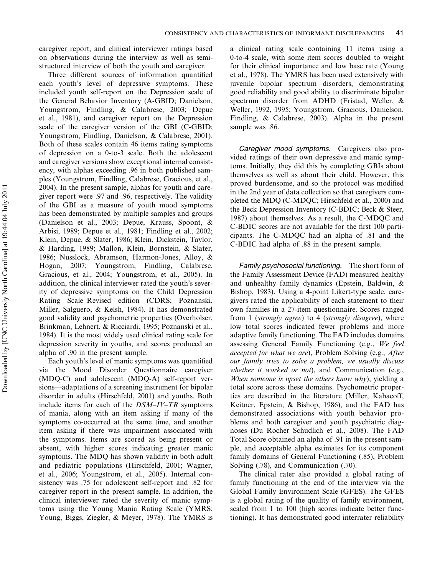caregiver report, and clinical interviewer ratings based on observations during the interview as well as semistructured interview of both the youth and caregiver.

Three different sources of information quantified each youth's level of depressive symptoms. These included youth self-report on the Depression scale of the General Behavior Inventory (A-GBID; Danielson, Youngstrom, Findling, & Calabrese, 2003; Depue et al., 1981), and caregiver report on the Depression scale of the caregiver version of the GBI (C-GBID; Youngstrom, Findling, Danielson, & Calabrese, 2001). Both of these scales contain 46 items rating symptoms of depression on a 0-to-3 scale. Both the adolescent and caregiver versions show exceptional internal consistency, with alphas exceeding .96 in both published samples (Youngstrom, Findling, Calabrese, Gracious, et al., 2004). In the present sample, alphas for youth and caregiver report were .97 and .96, respectively. The validity of the GBI as a measure of youth mood symptoms has been demonstrated by multiple samples and groups (Danielson et al., 2003; Depue, Krauss, Spoont, & Arbisi, 1989; Depue et al., 1981; Findling et al., 2002; Klein, Depue, & Slater, 1986; Klein, Dickstein, Taylor, & Harding, 1989; Mallon, Klein, Bornstein, & Slater, 1986; Nusslock, Abramson, Harmon-Jones, Alloy, & Hogan, 2007; Youngstrom, Findling, Calabrese, Gracious, et al., 2004; Youngstrom, et al., 2005). In addition, the clinical interviewer rated the youth's severity of depressive symptoms on the Child Depression Rating Scale–Revised edition (CDRS; Poznanski, Miller, Salguero, & Kelsh, 1984). It has demonstrated good validity and psychometric properties (Overholser, Brinkman, Lehnert, & Ricciardi, 1995; Poznanski et al., 1984). It is the most widely used clinical rating scale for depression severity in youths, and scores produced an alpha of .90 in the present sample.

Each youth's level of manic symptoms was quantified via the Mood Disorder Questionnaire caregiver (MDQ-C) and adolescent (MDQ-A) self-report versions—adaptations of a screening instrument for bipolar disorder in adults (Hirschfeld, 2001) and youths. Both include items for each of the  $DSM-V-TR$  symptoms of mania, along with an item asking if many of the symptoms co-occurred at the same time, and another item asking if there was impairment associated with the symptoms. Items are scored as being present or absent, with higher scores indicating greater manic symptoms. The MDQ has shown validity in both adult and pediatric populations (Hirschfeld, 2001; Wagner, et al., 2006; Youngstrom, et al., 2005). Internal consistency was .75 for adolescent self-report and .82 for caregiver report in the present sample. In addition, the clinical interviewer rated the severity of manic symptoms using the Young Mania Rating Scale (YMRS; Young, Biggs, Ziegler, & Meyer, 1978). The YMRS is a clinical rating scale containing 11 items using a 0-to-4 scale, with some item scores doubled to weight for their clinical importance and low base rate (Young et al., 1978). The YMRS has been used extensively with juvenile bipolar spectrum disorders, demonstrating good reliability and good ability to discriminate bipolar spectrum disorder from ADHD (Fristad, Weller, & Weller, 1992, 1995; Youngstrom, Gracious, Danielson, Findling, & Calabrese, 2003). Alpha in the present sample was .86.

Caregiver mood symptoms. Caregivers also provided ratings of their own depressive and manic symptoms. Initially, they did this by completing GBIs about themselves as well as about their child. However, this proved burdensome, and so the protocol was modified in the 2nd year of data collection so that caregivers completed the MDQ (C-MDQC; Hirschfeld et al., 2000) and the Beck Depression Inventory (C-BDIC; Beck & Steer, 1987) about themselves. As a result, the C-MDQC and C-BDIC scores are not available for the first 100 participants. The C-MDQC had an alpha of .81 and the C-BDIC had alpha of .88 in the present sample.

Family psychosocial functioning. The short form of the Family Assessment Device (FAD) measured healthy and unhealthy family dynamics (Epstein, Baldwin, & Bishop, 1983). Using a 4-point Likert-type scale, caregivers rated the applicability of each statement to their own families in a 27-item questionnaire. Scores ranged from 1 (*strongly agree*) to 4 (*strongly disagree*), where low total scores indicated fewer problems and more adaptive family functioning. The FAD includes domains assessing General Family Functioning (e.g., We feel accepted for what we are), Problem Solving (e.g., After our family tries to solve a problem, we usually discuss whether it worked or not), and Communication (e.g., When someone is upset the others know why), yielding a total score across these domains. Psychometric properties are described in the literature (Miller, Kabacoff, Keitner, Epstein, & Bishop, 1986), and the FAD has demonstrated associations with youth behavior problems and both caregiver and youth psychiatric diagnoses (Du Rocher Schudlich et al., 2008). The FAD Total Score obtained an alpha of .91 in the present sample, and acceptable alpha estimates for its component family domains of General Functioning (.85), Problem Solving (.78), and Communication (.70).

The clinical rater also provided a global rating of family functioning at the end of the interview via the Global Family Environment Scale (GFES). The GFES is a global rating of the quality of family environment, scaled from 1 to 100 (high scores indicate better functioning). It has demonstrated good interrater reliability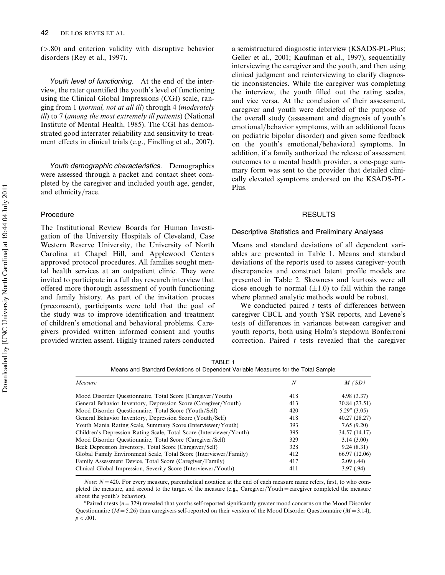(>.80) and criterion validity with disruptive behavior disorders (Rey et al., 1997).

Youth level of functioning. At the end of the interview, the rater quantified the youth's level of functioning using the Clinical Global Impressions (CGI) scale, ranging from 1 (normal, not at all ill) through 4 (moderately ill) to 7 (among the most extremely ill patients) (National Institute of Mental Health, 1985). The CGI has demonstrated good interrater reliability and sensitivity to treatment effects in clinical trials (e.g., Findling et al., 2007).

Youth demographic characteristics. Demographics were assessed through a packet and contact sheet completed by the caregiver and included youth age, gender, and ethnicity/race.

#### Procedure

The Institutional Review Boards for Human Investigation of the University Hospitals of Cleveland, Case Western Reserve University, the University of North Carolina at Chapel Hill, and Applewood Centers approved protocol procedures. All families sought mental health services at an outpatient clinic. They were invited to participate in a full day research interview that offered more thorough assessment of youth functioning and family history. As part of the invitation process (preconsent), participants were told that the goal of the study was to improve identification and treatment of children's emotional and behavioral problems. Caregivers provided written informed consent and youths provided written assent. Highly trained raters conducted a semistructured diagnostic interview (KSADS-PL-Plus; Geller et al., 2001; Kaufman et al., 1997), sequentially interviewing the caregiver and the youth, and then using clinical judgment and reinterviewing to clarify diagnostic inconsistencies. While the caregiver was completing the interview, the youth filled out the rating scales, and vice versa. At the conclusion of their assessment, caregiver and youth were debriefed of the purpose of the overall study (assessment and diagnosis of youth's emotional/behavior symptoms, with an additional focus on pediatric bipolar disorder) and given some feedback on the youth's emotional/behavioral symptoms. In addition, if a family authorized the release of assessment outcomes to a mental health provider, a one-page summary form was sent to the provider that detailed clinically elevated symptoms endorsed on the KSADS-PL-Plus.

### RESULTS

#### Descriptive Statistics and Preliminary Analyses

Means and standard deviations of all dependent variables are presented in Table 1. Means and standard deviations of the reports used to assess caregiver–youth discrepancies and construct latent profile models are presented in Table 2. Skewness and kurtosis were all close enough to normal  $(\pm 1.0)$  to fall within the range where planned analytic methods would be robust.

We conducted paired  $t$  tests of differences between caregiver CBCL and youth YSR reports, and Levene's tests of differences in variances between caregiver and youth reports, both using Holm's stepdown Bonferroni correction. Paired  $t$  tests revealed that the caregiver

|                                                                                   | TABLE 1 |  |
|-----------------------------------------------------------------------------------|---------|--|
| Means and Standard Deviations of Dependent Variable Measures for the Total Sample |         |  |

| Measure                                                             | N   | M(SD)           |
|---------------------------------------------------------------------|-----|-----------------|
| Mood Disorder Questionnaire, Total Score (Caregiver/Youth)          | 418 | 4.98(3.37)      |
| General Behavior Inventory, Depression Score (Caregiver/Youth)      | 413 | 30.84 (23.51)   |
| Mood Disorder Questionnaire, Total Score (Youth/Self)               | 420 | $5.29^a$ (3.05) |
| General Behavior Inventory, Depression Score (Youth/Self)           | 418 | 40.27 (28.27)   |
| Youth Mania Rating Scale, Summary Score (Interviewer/Youth)         | 393 | 7.65(9.20)      |
| Children's Depression Rating Scale, Total Score (Interviewer/Youth) | 395 | 34.57 (14.17)   |
| Mood Disorder Questionnaire, Total Score (Caregiver/Self)           | 329 | 3.14(3.00)      |
| Beck Depression Inventory, Total Score (Caregiver/Self)             | 328 | 9.24(8.31)      |
| Global Family Environment Scale, Total Score (Interviewer/Family)   | 412 | 66.97 (12.06)   |
| Family Assessment Device, Total Score (Caregiver/Family)            | 417 | 2.09(0.44)      |
| Clinical Global Impression, Severity Score (Interviewer/Youth)      | 411 | 3.97(.94)       |

*Note:*  $N = 420$ . For every measure, parenthetical notation at the end of each measure name refers, first, to who completed the measure, and second to the target of the measure (e.g., Caregiver/Youth = caregiver completed the measure about the youth's behavior).

<sup>&</sup>lt;sup>a</sup>Paired *t* tests ( $n = 329$ ) revealed that youths self-reported significantly greater mood concerns on the Mood Disorder Questionnaire ( $M = 5.26$ ) than caregivers self-reported on their version of the Mood Disorder Questionnaire ( $M = 3.14$ ),  $p < .001$ .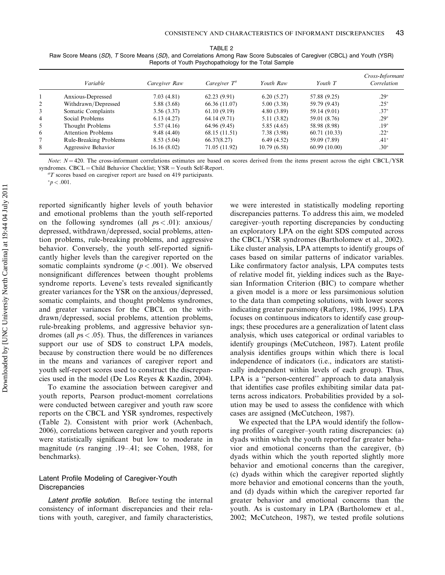|                | Variable                  | Caregiver Raw | <i>Caregiver</i> $T^a$ | Youth Raw   | Youth T      | Cross-Informant<br>Correlation |  |  |
|----------------|---------------------------|---------------|------------------------|-------------|--------------|--------------------------------|--|--|
| -1             | Anxious-Depressed         | 7.03(4.81)    | 62.23(9.91)            | 6.20(5.27)  | 57.88 (9.25) | $.29*$                         |  |  |
| 2              | Withdrawn/Depressed       | 5.88 (3.68)   | 66.36 (11.07)          | 5.00(3.38)  | 59.79 (9.43) | $.25*$                         |  |  |
| 3              | Somatic Complaints        | 3.56(3.37)    | 61.10(9.19)            | 4.80(3.89)  | 59.14 (9.01) | $.37*$                         |  |  |
| $\overline{4}$ | Social Problems           | 6.13(4.27)    | 64.14 (9.71)           | 5.11 (3.82) | 59.01 (8.76) | $.29*$                         |  |  |
| 5              | Thought Problems          | 5.57(4.16)    | 64.96 (9.45)           | 5.85(4.65)  | 58.98 (8.98) | $.19*$                         |  |  |
| 6              | <b>Attention Problems</b> | 9.48(4.40)    | 68.15 (11.51)          | 7.38 (3.98) | 60.71(10.33) | $.22*$                         |  |  |
| $\tau$         | Rule-Breaking Problems    | 8.53(5.04)    | 66.37(8.27)            | 6.49(4.52)  | 59.09 (7.89) | $.41*$                         |  |  |
| 8              | Aggressive Behavior       | 16.16 (8.02)  | 71.05 (11.92)          | 10.79(6.58) | 60.99(10.00) | $.30*$                         |  |  |

TABLE<sub>2</sub> Raw Score Means (SD), T Score Means (SD), and Correlations Among Raw Score Subscales of Caregiver (CBCL) and Youth (YSR) Reports of Youth Psychopathology for the Total Sample

*Note:*  $N = 420$ . The cross-informant correlations estimates are based on scores derived from the items present across the eight CBCL/YSR syndromes.  $CBCL = Child Behavior Checklist$ ;  $YSR = Youth Self-Report$ .

 ${}^{a}T$  scores based on caregiver report are based on 419 participants.

 $* p < .001.$ 

reported significantly higher levels of youth behavior and emotional problems than the youth self-reported on the following syndromes (all  $ps < .01$ ): anxious/ depressed, withdrawn/depressed, social problems, attention problems, rule-breaking problems, and aggressive behavior. Conversely, the youth self-reported significantly higher levels than the caregiver reported on the somatic complaints syndrome ( $p < .001$ ). We observed nonsignificant differences between thought problems syndrome reports. Levene's tests revealed significantly greater variances for the YSR on the anxious/depressed, somatic complaints, and thought problems syndromes, and greater variances for the CBCL on the withdrawn/depressed, social problems, attention problems, rule-breaking problems, and aggressive behavior syndromes (all  $ps < .05$ ). Thus, the differences in variances support our use of SDS to construct LPA models, because by construction there would be no differences in the means and variances of caregiver report and youth self-report scores used to construct the discrepancies used in the model (De Los Reyes & Kazdin, 2004).

To examine the association between caregiver and youth reports, Pearson product-moment correlations were conducted between caregiver and youth raw score reports on the CBCL and YSR syndromes, respectively (Table 2). Consistent with prior work (Achenbach, 2006), correlations between caregiver and youth reports were statistically significant but low to moderate in magnitude (rs ranging .19–.41; see Cohen, 1988, for benchmarks).

## Latent Profile Modeling of Caregiver-Youth Discrepancies

Latent profile solution. Before testing the internal consistency of informant discrepancies and their relations with youth, caregiver, and family characteristics,

we were interested in statistically modeling reporting discrepancies patterns. To address this aim, we modeled caregiver–youth reporting discrepancies by conducting an exploratory LPA on the eight SDS computed across the CBCL/YSR syndromes (Bartholomew et al., 2002). Like cluster analysis, LPA attempts to identify groups of cases based on similar patterns of indicator variables. Like confirmatory factor analysis, LPA computes tests of relative model fit, yielding indices such as the Bayesian Information Criterion (BIC) to compare whether a given model is a more or less parsimonious solution to the data than competing solutions, with lower scores indicating greater parsimony (Raftery, 1986, 1995). LPA focuses on continuous indicators to identify case groupings; these procedures are a generalization of latent class analysis, which uses categorical or ordinal variables to identify groupings (McCutcheon, 1987). Latent profile analysis identifies groups within which there is local independence of indicators (i.e., indicators are statistically independent within levels of each group). Thus, LPA is a ''person-centered'' approach to data analysis that identifies case profiles exhibiting similar data patterns across indicators. Probabilities provided by a solution may be used to assess the confidence with which cases are assigned (McCutcheon, 1987).

We expected that the LPA would identify the following profiles of caregiver–youth rating discrepancies: (a) dyads within which the youth reported far greater behavior and emotional concerns than the caregiver, (b) dyads within which the youth reported slightly more behavior and emotional concerns than the caregiver, (c) dyads within which the caregiver reported slightly more behavior and emotional concerns than the youth, and (d) dyads within which the caregiver reported far greater behavior and emotional concerns than the youth. As is customary in LPA (Bartholomew et al., 2002; McCutcheon, 1987), we tested profile solutions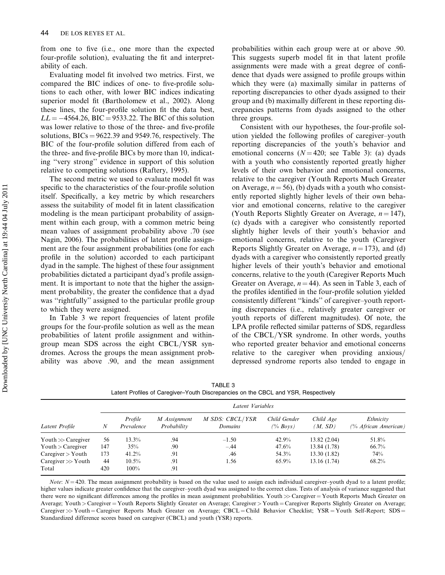from one to five (i.e., one more than the expected four-profile solution), evaluating the fit and interpretability of each.

Evaluating model fit involved two metrics. First, we compared the BIC indices of one- to five-profile solutions to each other, with lower BIC indices indicating superior model fit (Bartholomew et al., 2002). Along these lines, the four-profile solution fit the data best,  $LL = -4564.26$ , BIC = 9533.22. The BIC of this solution was lower relative to those of the three- and five-profile solutions,  $BICs = 9622.39$  and 9549.76, respectively. The BIC of the four-profile solution differed from each of the three- and five-profile BICs by more than 10, indicating ''very strong'' evidence in support of this solution relative to competing solutions (Raftery, 1995).

The second metric we used to evaluate model fit was specific to the characteristics of the four-profile solution itself. Specifically, a key metric by which researchers assess the suitability of model fit in latent classification modeling is the mean participant probability of assignment within each group, with a common metric being mean values of assignment probability above .70 (see Nagin, 2006). The probabilities of latent profile assignment are the four assignment probabilities (one for each profile in the solution) accorded to each participant dyad in the sample. The highest of these four assignment probabilities dictated a participant dyad's profile assignment. It is important to note that the higher the assignment probability, the greater the confidence that a dyad was ''rightfully'' assigned to the particular profile group to which they were assigned.

In Table 3 we report frequencies of latent profile groups for the four-profile solution as well as the mean probabilities of latent profile assignment and withingroup mean SDS across the eight CBCL/YSR syndromes. Across the groups the mean assignment probability was above .90, and the mean assignment

probabilities within each group were at or above .90. This suggests superb model fit in that latent profile assignments were made with a great degree of confidence that dyads were assigned to profile groups within which they were (a) maximally similar in patterns of reporting discrepancies to other dyads assigned to their group and (b) maximally different in these reporting discrepancies patterns from dyads assigned to the other three groups.

Consistent with our hypotheses, the four-profile solution yielded the following profiles of caregiver–youth reporting discrepancies of the youth's behavior and emotional concerns  $(N = 420)$ ; see Table 3): (a) dyads with a youth who consistently reported greatly higher levels of their own behavior and emotional concerns, relative to the caregiver (Youth Reports Much Greater on Average,  $n = 56$ ), (b) dyads with a youth who consistently reported slightly higher levels of their own behavior and emotional concerns, relative to the caregiver (Youth Reports Slightly Greater on Average,  $n = 147$ ), (c) dyads with a caregiver who consistently reported slightly higher levels of their youth's behavior and emotional concerns, relative to the youth (Caregiver Reports Slightly Greater on Average,  $n = 173$ ), and (d) dyads with a caregiver who consistently reported greatly higher levels of their youth's behavior and emotional concerns, relative to the youth (Caregiver Reports Much Greater on Average,  $n = 44$ ). As seen in Table 3, each of the profiles identified in the four-profile solution yielded consistently different ''kinds'' of caregiver–youth reporting discrepancies (i.e., relatively greater caregiver or youth reports of different magnitudes). Of note, the LPA profile reflected similar patterns of SDS, regardless of the CBCL/YSR syndrome. In other words, youths who reported greater behavior and emotional concerns relative to the caregiver when providing anxious/ depressed syndrome reports also tended to engage in

| Latent Profile        |     | Latent Variables      |                             |                            |                             |                      |                                   |  |  |
|-----------------------|-----|-----------------------|-----------------------------|----------------------------|-----------------------------|----------------------|-----------------------------------|--|--|
|                       | N   | Profile<br>Prevalence | M Assignment<br>Probability | M SDS: CBCL/YSR<br>Domains | Child Gender<br>$($ % Boys) | Child Age<br>(M, SD) | Ethnicity<br>(% African American) |  |  |
| Youth $\gg$ Caregiver | 56  | 13.3%                 | .94                         | $-1.50$                    | 42.9%                       | 13.82(2.04)          | 51.8%                             |  |  |
| Youth $>$ Caregiver   | 147 | 35%                   | .90                         | $-.44$                     | 47.6%                       | 13.84 (1.78)         | 66.7%                             |  |  |
| Caregiven > Youth     | 173 | 41.2%                 | .91                         | .46                        | 54.3%                       | 13.30 (1.82)         | 74%                               |  |  |
| Caregiver $\gg$ Youth | 44  | $10.5\%$              | .91                         | 1.56                       | $65.9\%$                    | 13.16 (1.74)         | 68.2%                             |  |  |
| Total                 | 420 | 100%                  | .91                         |                            |                             |                      |                                   |  |  |

TABLE 3 Latent Profiles of Caregiver–Youth Discrepancies on the CBCL and YSR, Respectively

*Note:*  $N = 420$ . The mean assignment probability is based on the value used to assign each individual caregiver–youth dyad to a latent profile; higher values indicate greater confidence that the caregiver–youth dyad was assigned to the correct class. Tests of analysis of variance suggested that there were no significant differences among the profiles in mean assignment probabilities. Youth  $\gg$  Caregiver = Youth Reports Much Greater on Average; Youth > Caregiver = Youth Reports Slightly Greater on Average; Caregiver > Youth = Caregiver Reports Slightly Greater on Average; Caregiver >> Youth = Caregiver Reports Much Greater on Average; CBCL = Child Behavior Checklist; YSR = Youth Self-Report; SDS = Standardized difference scores based on caregiver (CBCL) and youth (YSR) reports.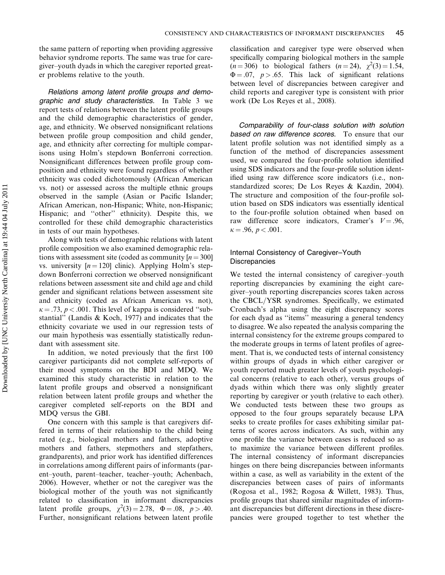the same pattern of reporting when providing aggressive behavior syndrome reports. The same was true for caregiver–youth dyads in which the caregiver reported greater problems relative to the youth.

Relations among latent profile groups and demographic and study characteristics. In Table 3 we report tests of relations between the latent profile groups and the child demographic characteristics of gender, age, and ethnicity. We observed nonsignificant relations between profile group composition and child gender, age, and ethnicity after correcting for multiple comparisons using Holm's stepdown Bonferroni correction. Nonsignificant differences between profile group composition and ethnicity were found regardless of whether ethnicity was coded dichotomously (African American vs. not) or assessed across the multiple ethnic groups observed in the sample (Asian or Pacific Islander; African American, non-Hispanic; White, non-Hispanic; Hispanic; and ''other'' ethnicity). Despite this, we controlled for these child demographic characteristics in tests of our main hypotheses.

Along with tests of demographic relations with latent profile composition we also examined demographic relations with assessment site (coded as community  $[n = 300]$ vs. university  $[n = 120]$  clinic). Applying Holm's stepdown Bonferroni correction we observed nonsignificant relations between assessment site and child age and child gender and significant relations between assessment site and ethnicity (coded as African American vs. not),  $\kappa = .73$ ,  $p < .001$ . This level of kappa is considered "substantial'' (Landis & Koch, 1977) and indicates that the ethnicity covariate we used in our regression tests of our main hypothesis was essentially statistically redundant with assessment site.

In addition, we noted previously that the first 100 caregiver participants did not complete self-reports of their mood symptoms on the BDI and MDQ. We examined this study characteristic in relation to the latent profile groups and observed a nonsignificant relation between latent profile groups and whether the caregiver completed self-reports on the BDI and MDQ versus the GBI.

One concern with this sample is that caregivers differed in terms of their relationship to the child being rated (e.g., biological mothers and fathers, adoptive mothers and fathers, stepmothers and stepfathers, grandparents), and prior work has identified differences in correlations among different pairs of informants (parent–youth, parent–teacher, teacher–youth; Achenbach, 2006). However, whether or not the caregiver was the biological mother of the youth was not significantly related to classification in informant discrepancies latent profile groups,  $\chi^2(3) = 2.78$ ,  $\Phi = .08$ ,  $p > .40$ . Further, nonsignificant relations between latent profile classification and caregiver type were observed when specifically comparing biological mothers in the sample  $(n = 306)$  to biological fathers  $(n = 24)$ ,  $\chi^2(3) = 1.54$ ,  $\Phi = .07$ ,  $p > .65$ . This lack of significant relations between level of discrepancies between caregiver and child reports and caregiver type is consistent with prior work (De Los Reyes et al., 2008).

Comparability of four-class solution with solution based on raw difference scores. To ensure that our latent profile solution was not identified simply as a function of the method of discrepancies assessment used, we compared the four-profile solution identified using SDS indicators and the four-profile solution identified using raw difference score indicators (i.e., nonstandardized scores; De Los Reyes & Kazdin, 2004). The structure and composition of the four-profile solution based on SDS indicators was essentially identical to the four-profile solution obtained when based on raw difference score indicators, Cramer's  $V = .96$ ,  $\kappa = .96, p < .001.$ 

## Internal Consistency of Caregiver–Youth **Discrepancies**

We tested the internal consistency of caregiver–youth reporting discrepancies by examining the eight caregiver–youth reporting discrepancies scores taken across the CBCL/YSR syndromes. Specifically, we estimated Cronbach's alpha using the eight discrepancy scores for each dyad as ''items'' measuring a general tendency to disagree. We also repeated the analysis comparing the internal consistency for the extreme groups compared to the moderate groups in terms of latent profiles of agreement. That is, we conducted tests of internal consistency within groups of dyads in which either caregiver or youth reported much greater levels of youth psychological concerns (relative to each other), versus groups of dyads within which there was only slightly greater reporting by caregiver or youth (relative to each other). We conducted tests between these two groups as opposed to the four groups separately because LPA seeks to create profiles for cases exhibiting similar patterns of scores across indicators. As such, within any one profile the variance between cases is reduced so as to maximize the variance between different profiles. The internal consistency of informant discrepancies hinges on there being discrepancies between informants within a case, as well as variability in the extent of the discrepancies between cases of pairs of informants (Rogosa et al., 1982; Rogosa & Willett, 1983). Thus, profile groups that shared similar magnitudes of informant discrepancies but different directions in these discrepancies were grouped together to test whether the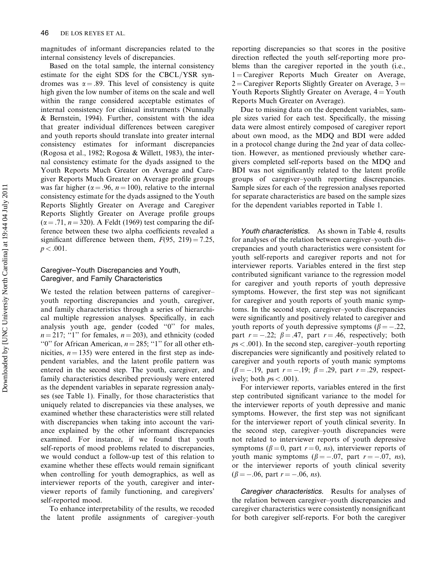magnitudes of informant discrepancies related to the internal consistency levels of discrepancies.

Based on the total sample, the internal consistency estimate for the eight SDS for the CBCL/YSR syndromes was  $\alpha = .89$ . This level of consistency is quite high given the low number of items on the scale and well within the range considered acceptable estimates of internal consistency for clinical instruments (Nunnally & Bernstein, 1994). Further, consistent with the idea that greater individual differences between caregiver and youth reports should translate into greater internal consistency estimates for informant discrepancies (Rogosa et al., 1982; Rogosa & Willett, 1983), the internal consistency estimate for the dyads assigned to the Youth Reports Much Greater on Average and Caregiver Reports Much Greater on Average profile groups was far higher ( $\alpha = .96$ ,  $n = 100$ ), relative to the internal consistency estimate for the dyads assigned to the Youth Reports Slightly Greater on Average and Caregiver Reports Slightly Greater on Average profile groups  $(\alpha = .71, n = 320)$ . A Feldt (1969) test comparing the difference between these two alpha coefficients revealed a significant difference between them,  $F(95, 219) = 7.25$ ,  $p < .001$ .

## Caregiver–Youth Discrepancies and Youth, Caregiver, and Family Characteristics

We tested the relation between patterns of caregiver– youth reporting discrepancies and youth, caregiver, and family characteristics through a series of hierarchical multiple regression analyses. Specifically, in each analysis youth age, gender (coded ''0'' for males,  $n = 217$ ; "1" for females,  $n = 203$ ), and ethnicity (coded "0" for African American,  $n = 285$ ; "1" for all other ethnicities,  $n = 135$ ) were entered in the first step as independent variables, and the latent profile pattern was entered in the second step. The youth, caregiver, and family characteristics described previously were entered as the dependent variables in separate regression analyses (see Table 1). Finally, for those characteristics that uniquely related to discrepancies via these analyses, we examined whether these characteristics were still related with discrepancies when taking into account the variance explained by the other informant discrepancies examined. For instance, if we found that youth self-reports of mood problems related to discrepancies, we would conduct a follow-up test of this relation to examine whether these effects would remain significant when controlling for youth demographics, as well as interviewer reports of the youth, caregiver and interviewer reports of family functioning, and caregivers' self-reported mood.

To enhance interpretability of the results, we recoded the latent profile assignments of caregiver–youth reporting discrepancies so that scores in the positive direction reflected the youth self-reporting more problems than the caregiver reported in the youth (i.e.,  $1 =$ Caregiver Reports Much Greater on Average,  $2 =$  Caregiver Reports Slightly Greater on Average,  $3 =$ Youth Reports Slightly Greater on Average,  $4 =$ Youth Reports Much Greater on Average).

Due to missing data on the dependent variables, sample sizes varied for each test. Specifically, the missing data were almost entirely composed of caregiver report about own mood, as the MDQ and BDI were added in a protocol change during the 2nd year of data collection. However, as mentioned previously whether caregivers completed self-reports based on the MDQ and BDI was not significantly related to the latent profile groups of caregiver–youth reporting discrepancies. Sample sizes for each of the regression analyses reported for separate characteristics are based on the sample sizes for the dependent variables reported in Table 1.

Youth characteristics. As shown in Table 4, results for analyses of the relation between caregiver–youth discrepancies and youth characteristics were consistent for youth self-reports and caregiver reports and not for interviewer reports. Variables entered in the first step contributed significant variance to the regression model for caregiver and youth reports of youth depressive symptoms. However, the first step was not significant for caregiver and youth reports of youth manic symptoms. In the second step, caregiver–youth discrepancies were significantly and positively related to caregiver and youth reports of youth depressive symptoms ( $\beta = -.22$ , part  $r = -.22$ ;  $\beta = .47$ , part  $r = .46$ , respectively; both  $ps < .001$ ). In the second step, caregiver–youth reporting discrepancies were significantly and positively related to caregiver and youth reports of youth manic symptoms  $(\beta = -.19, \text{ part } r = -.19; \beta = .29, \text{ part } r = .29, \text{ respect-}$ ively; both  $ps < .001$ ).

For interviewer reports, variables entered in the first step contributed significant variance to the model for the interviewer reports of youth depressive and manic symptoms. However, the first step was not significant for the interviewer report of youth clinical severity. In the second step, caregiver–youth discrepancies were not related to interviewer reports of youth depressive symptoms ( $\beta = 0$ , part  $r = 0$ , ns), interviewer reports of youth manic symptoms ( $\beta = -.07$ , part  $r = -.07$ , ns), or the interviewer reports of youth clinical severity  $(\beta = -.06, \text{ part } r = -.06, \text{ ns}).$ 

Caregiver characteristics. Results for analyses of the relation between caregiver–youth discrepancies and caregiver characteristics were consistently nonsignificant for both caregiver self-reports. For both the caregiver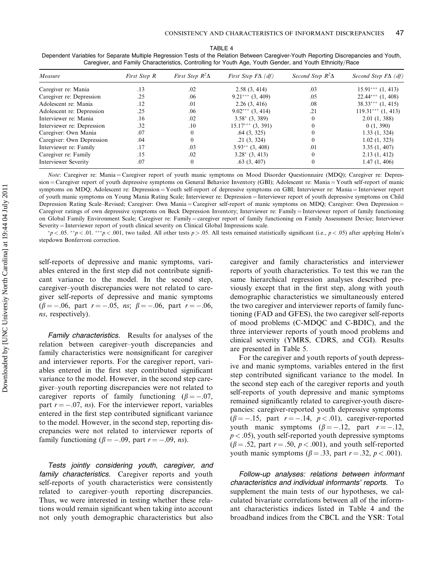| Measure                    | First Step R | First Step $R^2\Delta$ | First Step $F\Delta$ (df) | Second Step $R^2\Delta$ | Second Step $F\Delta$ (df) |
|----------------------------|--------------|------------------------|---------------------------|-------------------------|----------------------------|
| Caregiver re: Mania        | .13          | .02                    | 2.58(3, 414)              | .03                     | $15.91***$ $(1, 413)$      |
| Caregiver re: Depression   | .25          | .06                    | $9.21***$ (3, 409)        | .05                     | $22.44***$ (1, 408)        |
| Adolescent re: Mania       | .12          | .01                    | 2.26(3, 416)              | .08                     | $38.33***$ (1, 415)        |
| Adolescent re: Depression  | .25          | .06                    | $9.02***$ (3, 414)        | .21                     | $119.31***$ $(1, 413)$     |
| Interviewer re: Mania      | .16          | .02                    | $3.58^*$ $(3, 389)$       | $\theta$                | 2.01(1, 388)               |
| Interviewer re: Depression | .32          | .10                    | $15.17***$ $(3, 391)$     | $\theta$                | 0(1, 390)                  |
| Caregiver: Own Mania       | .07          | $\theta$               | .64(3, 325)               | $\mathbf{0}$            | 1.33(1, 324)               |
| Caregiver: Own Depression  | .04          |                        | .21(3, 324)               | $\theta$                | 1.02(1, 323)               |
| Interviewer re: Family     | .17          | .03                    | $3.93**$ (3, 408)         | .01                     | 3.35(1, 407)               |
| Caregiver re: Family       | .15          | .02                    | $3.28^*$ $(3, 413)$       | $\mathbf{0}$            | 2.13(1, 412)               |
| Interviewer Severity       | .07          | $\theta$               | .63(3, 407)               | $\mathbf{0}$            | 1.47 (1, 406)              |

TABLE 4 Dependent Variables for Separate Multiple Regression Tests of the Relation Between Caregiver-Youth Reporting Discrepancies and Youth, Caregiver, and Family Characteristics, Controlling for Youth Age, Youth Gender, and Youth Ethnicity/Race

Note: Caregiver re: Mania = Caregiver report of youth manic symptoms on Mood Disorder Questionnaire (MDQ); Caregiver re: Depres $sion =$ Caregiver report of youth depressive symptoms on General Behavior Inventory (GBI); Adolescent re: Mania = Youth self-report of manic symptoms on MDQ; Adolescent re: Depression = Youth self-report of depressive symptoms on GBI; Interviewer re: Mania = Interviewer report of youth manic symptoms on Young Mania Rating Scale; Interviewer re: Depression = Interviewer report of youth depressive symptoms on Child Depression Rating Scale–Revised; Caregiver: Own Mania = Caregiver self-report of manic symptoms on MDQ; Caregiver: Own Depression = Caregiver ratings of own depressive symptoms on Beck Depression Inventory; Interviewer re: Family = Interviewer report of family functioning on Global Family Environment Scale; Caregiver re: Family = caregiver report of family functioning on Family Assessment Device; Interviewer Severity = Interviewer report of youth clinical severity on Clinical Global Impressions scale.

 $\gamma p < .05$ .  $\gamma p < .01$ .  $\gamma p < .001$ , two tailed. All other tests  $p > .05$ . All tests remained statistically significant (i.e.,  $p < .05$ ) after applying Holm's stepdown Bonferroni correction.

self-reports of depressive and manic symptoms, variables entered in the first step did not contribute significant variance to the model. In the second step, caregiver–youth discrepancies were not related to caregiver self-reports of depressive and manic symptoms  $(\beta = -.06, \text{ part } r = -.05, \text{ ns}; \beta = -.06, \text{ part } r = -.06,$ ns, respectively).

Family characteristics. Results for analyses of the relation between caregiver–youth discrepancies and family characteristics were nonsignificant for caregiver and interviewer reports. For the caregiver report, variables entered in the first step contributed significant variance to the model. However, in the second step caregiver–youth reporting discrepancies were not related to caregiver reports of family functioning  $(\beta = -.07, )$ part  $r = -.07$ , ns). For the interviewer report, variables entered in the first step contributed significant variance to the model. However, in the second step, reporting discrepancies were not related to interviewer reports of family functioning ( $\beta = -.09$ , part  $r = -.09$ , ns).

Tests jointly considering youth, caregiver, and family characteristics. Caregiver reports and youth self-reports of youth characteristics were consistently related to caregiver–youth reporting discrepancies. Thus, we were interested in testing whether these relations would remain significant when taking into account not only youth demographic characteristics but also

caregiver and family characteristics and interviewer reports of youth characteristics. To test this we ran the same hierarchical regression analyses described previously except that in the first step, along with youth demographic characteristics we simultaneously entered the two caregiver and interviewer reports of family functioning (FAD and GFES), the two caregiver self-reports of mood problems (C-MDQC and C-BDIC), and the three interviewer reports of youth mood problems and clinical severity (YMRS, CDRS, and CGI). Results are presented in Table 5.

For the caregiver and youth reports of youth depressive and manic symptoms, variables entered in the first step contributed significant variance to the model. In the second step each of the caregiver reports and youth self-reports of youth depressive and manic symptoms remained significantly related to caregiver-youth discrepancies: caregiver-reported youth depressive symptoms  $(\beta = -.15, \text{ part } r = -.14, p < .01)$ , caregiver-reported youth manic symptoms  $(\beta = -.12, \text{ part } r = -.12,$  $p < .05$ ), youth self-reported youth depressive symptoms  $(\beta = .52,$  part  $r = .50, p < .001$ ), and youth self-reported youth manic symptoms ( $\beta = .33$ , part  $r = .32$ ,  $p < .001$ ).

Follow-up analyses: relations between informant characteristics and individual informants' reports. To supplement the main tests of our hypotheses, we calculated bivariate correlations between all of the informant characteristics indices listed in Table 4 and the broadband indices from the CBCL and the YSR: Total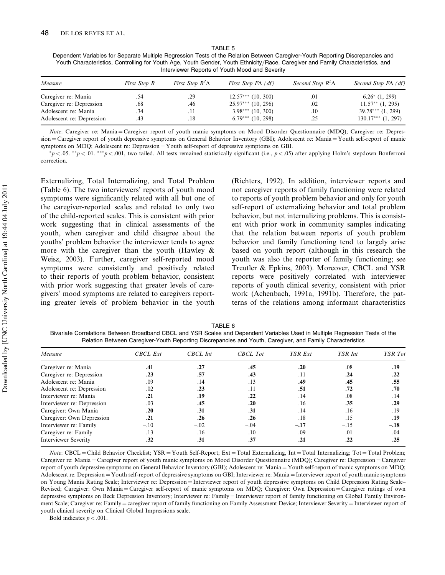| TABLE 5                                                                                                                         |
|---------------------------------------------------------------------------------------------------------------------------------|
| Dependent Variables for Separate Multiple Regression Tests of the Relation Between Caregiver-Youth Reporting Discrepancies and  |
| Youth Characteristics, Controlling for Youth Age, Youth Gender, Youth Ethnicity/Race, Caregiver and Family Characteristics, and |
| Interviewer Reports of Youth Mood and Severity                                                                                  |

| Measure                   | First Step R | First Step $R^2\Delta$ | First Step $F\Delta$ (df) | Second Step $R^2\Delta$ | Second Step $F\Delta$ (df) |
|---------------------------|--------------|------------------------|---------------------------|-------------------------|----------------------------|
| Caregiver re: Mania       | .54          | .29                    | $12.57***$ (10, 300)      | .01                     | $6.26^*$ (1, 299)          |
| Caregiver re: Depression  | .68          | .46                    | $25.97***$ (10, 296)      | .02                     | $11.57**$ (1, 295)         |
| Adolescent re: Mania      | .34          | .11                    | $3.98***(10, 300)$        | $.10\,$                 | $39.78***$ (1, 299)        |
| Adolescent re: Depression | .43          | .18                    | $6.79***$ (10, 298)       | .25                     | $130.17***$ (1, 297)       |

Note: Caregiver re: Mania = Caregiver report of youth manic symptoms on Mood Disorder Questionnaire (MDQ); Caregiver re: Depression = Caregiver report of youth depressive symptoms on General Behavior Inventory (GBI); Adolescent re: Mania = Youth self-report of manic symptoms on MDQ; Adolescent re: Depression = Youth self-report of depressive symptoms on GBI.

 $\gamma p < .05$ .  $\gamma p < .01$ .  $\gamma p < .001$ , two tailed. All tests remained statistically significant (i.e.,  $p < .05$ ) after applying Holm's stepdown Bonferroni correction.

Externalizing, Total Internalizing, and Total Problem (Table 6). The two interviewers' reports of youth mood symptoms were significantly related with all but one of the caregiver-reported scales and related to only two of the child-reported scales. This is consistent with prior work suggesting that in clinical assessments of the youth, when caregiver and child disagree about the youths' problem behavior the interviewer tends to agree more with the caregiver than the youth (Hawley & Weisz, 2003). Further, caregiver self-reported mood symptoms were consistently and positively related to their reports of youth problem behavior, consistent with prior work suggesting that greater levels of caregivers' mood symptoms are related to caregivers reporting greater levels of problem behavior in the youth (Richters, 1992). In addition, interviewer reports and not caregiver reports of family functioning were related to reports of youth problem behavior and only for youth self-report of externalizing behavior and total problem behavior, but not internalizing problems. This is consistent with prior work in community samples indicating that the relation between reports of youth problem behavior and family functioning tend to largely arise based on youth report (although in this research the youth was also the reporter of family functioning; see Treutler & Epkins, 2003). Moreover, CBCL and YSR reports were positively correlated with interviewer reports of youth clinical severity, consistent with prior work (Achenbach, 1991a, 1991b). Therefore, the patterns of the relations among informant characteristics

TABLE 6 Bivariate Correlations Between Broadband CBCL and YSR Scales and Dependent Variables Used in Multiple Regression Tests of the Relation Between Caregiver-Youth Reporting Discrepancies and Youth, Caregiver, and Family Characteristics

| Measure                     | <b>CBCL</b> Ext | <b>CBCL</b> Int | <b>CBCL</b> Tot | <b>YSR</b> Ext | YSR Int | <b>YSR</b> Tot |
|-----------------------------|-----------------|-----------------|-----------------|----------------|---------|----------------|
| Caregiver re: Mania         | .41             | .27             | .45             | .20            | .08     | .19            |
| Caregiver re: Depression    | .23             | .57             | .43             | .11            | .24     | .22            |
| Adolescent re: Mania        | .09             | .14             | .13             | .49            | .45     | .55            |
| Adolescent re: Depression   | .02             | .23             | .11             | .51            | .72     | .70            |
| Interviewer re: Mania       | .21             | .19             | .22             | .14            | .08     | .14            |
| Interviewer re: Depression  | .03             | .45             | .20             | .16            | .35     | .29            |
| Caregiver: Own Mania        | .20             | .31             | .31             | .14            | .16     | .19            |
| Caregiver: Own Depression   | .21             | .26             | .26             | .18            | .15     | .19            |
| Interviewer re: Family      | $-.10$          | $-.02$          | $-.04$          | $-.17$         | $-.15$  | $-.18$         |
| Caregiver re: Family        | .13             | .16             | .10             | .09            | .01     | .04            |
| <b>Interviewer Severity</b> | .32             | .31             | .37             | .21            | .22     | .25            |

 $Note:  $\text{CBCL} = \text{Child}$  Behavior Checklist; YSR = Youth Self-Report; Ext = Total Externalizing, Int = Total Internalizing; Tot = Total Problem;$ Caregiver re: Mania = Caregiver report of youth manic symptoms on Mood Disorder Questionnaire (MDQ); Caregiver re: Depression = Caregiver report of youth depressive symptoms on General Behavior Inventory (GBI); Adolescent re: Mania = Youth self-report of manic symptoms on MDQ; Adolescent re: Depression = Youth self-report of depressive symptoms on GBI; Interviewer re: Mania = Interviewer report of youth manic symptoms on Young Mania Rating Scale; Interviewer re: Depression = Interviewer report of youth depressive symptoms on Child Depression Rating Scale– Revised; Caregiver: Own Mania = Caregiver self-report of manic symptoms on MDQ; Caregiver: Own Depression = Caregiver ratings of own depressive symptoms on Beck Depression Inventory; Interviewer re: Family = Interviewer report of family functioning on Global Family Environment Scale; Caregiver re: Family = caregiver report of family functioning on Family Assessment Device; Interviewer Severity = Interviewer report of youth clinical severity on Clinical Global Impressions scale.

Bold indicates  $p < .001$ .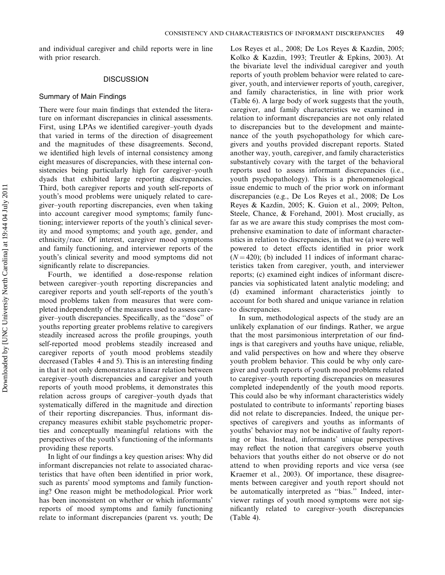and individual caregiver and child reports were in line with prior research.

### **DISCUSSION**

#### Summary of Main Findings

There were four main findings that extended the literature on informant discrepancies in clinical assessments. First, using LPAs we identified caregiver–youth dyads that varied in terms of the direction of disagreement and the magnitudes of these disagreements. Second, we identified high levels of internal consistency among eight measures of discrepancies, with these internal consistencies being particularly high for caregiver–youth dyads that exhibited large reporting discrepancies. Third, both caregiver reports and youth self-reports of youth's mood problems were uniquely related to caregiver–youth reporting discrepancies, even when taking into account caregiver mood symptoms; family functioning; interviewer reports of the youth's clinical severity and mood symptoms; and youth age, gender, and ethnicity/race. Of interest, caregiver mood symptoms and family functioning, and interviewer reports of the youth's clinical severity and mood symptoms did not significantly relate to discrepancies.

Fourth, we identified a dose-response relation between caregiver–youth reporting discrepancies and caregiver reports and youth self-reports of the youth's mood problems taken from measures that were completed independently of the measures used to assess caregiver–youth discrepancies. Specifically, as the ''dose'' of youths reporting greater problems relative to caregivers steadily increased across the profile groupings, youth self-reported mood problems steadily increased and caregiver reports of youth mood problems steadily decreased (Tables 4 and 5). This is an interesting finding in that it not only demonstrates a linear relation between caregiver–youth discrepancies and caregiver and youth reports of youth mood problems, it demonstrates this relation across groups of caregiver–youth dyads that systematically differed in the magnitude and direction of their reporting discrepancies. Thus, informant discrepancy measures exhibit stable psychometric properties and conceptually meaningful relations with the perspectives of the youth's functioning of the informants providing these reports.

In light of our findings a key question arises: Why did informant discrepancies not relate to associated characteristics that have often been identified in prior work, such as parents' mood symptoms and family functioning? One reason might be methodological. Prior work has been inconsistent on whether or which informants' reports of mood symptoms and family functioning relate to informant discrepancies (parent vs. youth; De

Los Reyes et al., 2008; De Los Reyes & Kazdin, 2005; Kolko & Kazdin, 1993; Treutler & Epkins, 2003). At the bivariate level the individual caregiver and youth reports of youth problem behavior were related to caregiver, youth, and interviewer reports of youth, caregiver, and family characteristics, in line with prior work (Table 6). A large body of work suggests that the youth, caregiver, and family characteristics we examined in relation to informant discrepancies are not only related to discrepancies but to the development and maintenance of the youth psychopathology for which caregivers and youths provided discrepant reports. Stated another way, youth, caregiver, and family characteristics substantively covary with the target of the behavioral reports used to assess informant discrepancies (i.e., youth psychopathology). This is a phenomenological issue endemic to much of the prior work on informant discrepancies (e.g., De Los Reyes et al., 2008; De Los Reyes & Kazdin, 2005; K. Guion et al., 2009; Pelton, Steele, Chance, & Forehand, 2001). Most crucially, as far as we are aware this study comprises the most comprehensive examination to date of informant characteristics in relation to discrepancies, in that we (a) were well powered to detect effects identified in prior work  $(N = 420)$ ; (b) included 11 indices of informant characteristics taken from caregiver, youth, and interviewer reports; (c) examined eight indices of informant discrepancies via sophisticated latent analytic modeling; and (d) examined informant characteristics jointly to account for both shared and unique variance in relation to discrepancies.

In sum, methodological aspects of the study are an unlikely explanation of our findings. Rather, we argue that the most parsimonious interpretation of our findings is that caregivers and youths have unique, reliable, and valid perspectives on how and where they observe youth problem behavior. This could be why only caregiver and youth reports of youth mood problems related to caregiver–youth reporting discrepancies on measures completed independently of the youth mood reports. This could also be why informant characteristics widely postulated to contribute to informants' reporting biases did not relate to discrepancies. Indeed, the unique perspectives of caregivers and youths as informants of youths' behavior may not be indicative of faulty reporting or bias. Instead, informants' unique perspectives may reflect the notion that caregivers observe youth behaviors that youths either do not observe or do not attend to when providing reports and vice versa (see Kraemer et al., 2003). Of importance, these disagreements between caregiver and youth report should not be automatically interpreted as ''bias.'' Indeed, interviewer ratings of youth mood symptoms were not significantly related to caregiver–youth discrepancies (Table 4).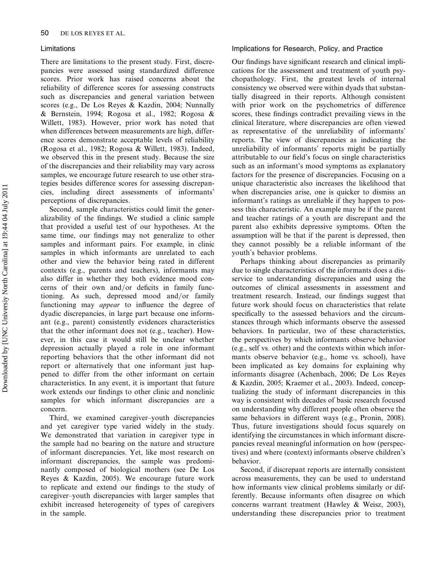## Limitations

There are limitations to the present study. First, discrepancies were assessed using standardized difference scores. Prior work has raised concerns about the reliability of difference scores for assessing constructs such as discrepancies and general variation between scores (e.g., De Los Reyes & Kazdin, 2004; Nunnally & Bernstein, 1994; Rogosa et al., 1982; Rogosa & Willett, 1983). However, prior work has noted that when differences between measurements are high, difference scores demonstrate acceptable levels of reliability (Rogosa et al., 1982; Rogosa & Willett, 1983). Indeed, we observed this in the present study. Because the size of the discrepancies and their reliability may vary across samples, we encourage future research to use other strategies besides difference scores for assessing discrepancies, including direct assessments of informants' perceptions of discrepancies.

Second, sample characteristics could limit the generalizability of the findings. We studied a clinic sample that provided a useful test of our hypotheses. At the same time, our findings may not generalize to other samples and informant pairs. For example, in clinic samples in which informants are unrelated to each other and view the behavior being rated in different contexts (e.g., parents and teachers), informants may also differ in whether they both evidence mood concerns of their own and/or deficits in family functioning. As such, depressed mood and/or family functioning may *appear* to influence the degree of dyadic discrepancies, in large part because one informant (e.g., parent) consistently evidences characteristics that the other informant does not (e.g., teacher). However, in this case it would still be unclear whether depression actually played a role in one informant reporting behaviors that the other informant did not report or alternatively that one informant just happened to differ from the other informant on certain characteristics. In any event, it is important that future work extends our findings to other clinic and nonclinic samples for which informant discrepancies are a concern.

Third, we examined caregiver–youth discrepancies and yet caregiver type varied widely in the study. We demonstrated that variation in caregiver type in the sample had no bearing on the nature and structure of informant discrepancies. Yet, like most research on informant discrepancies, the sample was predominantly composed of biological mothers (see De Los Reyes & Kazdin, 2005). We encourage future work to replicate and extend our findings to the study of caregiver–youth discrepancies with larger samples that exhibit increased heterogeneity of types of caregivers in the sample.

## Implications for Research, Policy, and Practice

Our findings have significant research and clinical implications for the assessment and treatment of youth psychopathology. First, the greatest levels of internal consistency we observed were within dyads that substantially disagreed in their reports. Although consistent with prior work on the psychometrics of difference scores, these findings contradict prevailing views in the clinical literature, where discrepancies are often viewed as representative of the unreliability of informants' reports. The view of discrepancies as indicating the unreliability of informants' reports might be partially attributable to our field's focus on single characteristics such as an informant's mood symptoms as explanatory factors for the presence of discrepancies. Focusing on a unique characteristic also increases the likelihood that when discrepancies arise, one is quicker to dismiss an informant's ratings as unreliable if they happen to possess this characteristic. An example may be if the parent and teacher ratings of a youth are discrepant and the parent also exhibits depressive symptoms. Often the assumption will be that if the parent is depressed, then they cannot possibly be a reliable informant of the youth's behavior problems.

Perhaps thinking about discrepancies as primarily due to single characteristics of the informants does a disservice to understanding discrepancies and using the outcomes of clinical assessments in assessment and treatment research. Instead, our findings suggest that future work should focus on characteristics that relate specifically to the assessed behaviors and the circumstances through which informants observe the assessed behaviors. In particular, two of these characteristics, the perspectives by which informants observe behavior (e.g., self vs. other) and the contexts within which informants observe behavior (e.g., home vs. school), have been implicated as key domains for explaining why informants disagree (Achenbach, 2006; De Los Reyes & Kazdin, 2005; Kraemer et al., 2003). Indeed, conceptualizing the study of informant discrepancies in this way is consistent with decades of basic research focused on understanding why different people often observe the same behaviors in different ways (e.g., Pronin, 2008). Thus, future investigations should focus squarely on identifying the circumstances in which informant discrepancies reveal meaningful information on how (perspectives) and where (context) informants observe children's behavior.

Second, if discrepant reports are internally consistent across measurements, they can be used to understand how informants view clinical problems similarly or differently. Because informants often disagree on which concerns warrant treatment (Hawley & Weisz, 2003), understanding these discrepancies prior to treatment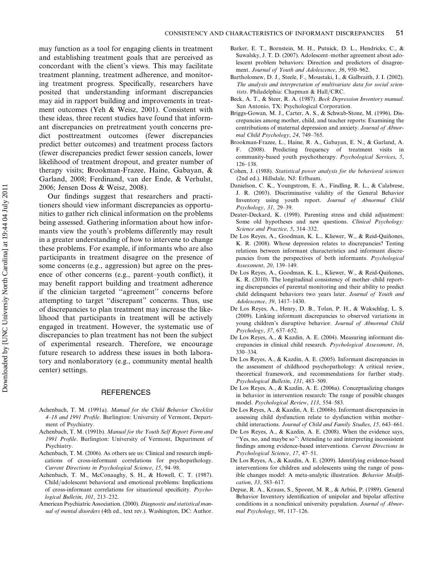may function as a tool for engaging clients in treatment and establishing treatment goals that are perceived as concordant with the client's views. This may facilitate treatment planning, treatment adherence, and monitoring treatment progress. Specifically, researchers have posited that understanding informant discrepancies may aid in rapport building and improvements in treatment outcomes (Yeh & Weisz, 2001). Consistent with these ideas, three recent studies have found that informant discrepancies on pretreatment youth concerns preposttreatment outcomes (fewer discrepancies predict better outcomes) and treatment process factors (fewer discrepancies predict fewer session cancels, lower likelihood of treatment dropout, and greater number of therapy visits; Brookman-Frazee, Haine, Gabayan, & Garland, 2008; Ferdinand, van der Ende, & Verhulst, 2006; Jensen Doss & Weisz, 2008).

Our findings suggest that researchers and practitioners should view informant discrepancies as opportunities to gather rich clinical information on the problems being assessed. Gathering information about how informants view the youth's problems differently may result in a greater understanding of how to intervene to change these problems. For example, if informants who are also participants in treatment disagree on the presence of some concerns (e.g., aggression) but agree on the presence of other concerns (e.g., parent–youth conflict), it may benefit rapport building and treatment adherence if the clinician targeted ''agreement'' concerns before attempting to target ''discrepant'' concerns. Thus, use of discrepancies to plan treatment may increase the likelihood that participants in treatment will be actively engaged in treatment. However, the systematic use of discrepancies to plan treatment has not been the subject of experimental research. Therefore, we encourage future research to address these issues in both laboratory and nonlaboratory (e.g., community mental health center) settings.

#### **REFERENCES**

- Achenbach, T. M. (1991a). Manual for the Child Behavior Checklist 4-18 and 1991 Profile. Burlington: University of Vermont, Department of Psychiatry.
- Achenbach, T. M. (1991b). Manual for the Youth Self Report Form and 1991 Profile. Burlington: University of Vermont, Department of Psychiatry.
- Achenbach, T. M. (2006). As others see us: Clinical and research implications of cross-informant correlations for psychopathology. Current Directions in Psychological Science, 15, 94–98.
- Achenbach, T. M., McConaughy, S. H., & Howell, C. T. (1987). Child/adolescent behavioral and emotional problems: Implications of cross-informant correlations for situational specificity. Psychological Bulletin, 101, 213–232.
- American Psychiatric Association. (2000). Diagnostic and statistical manual of mental disorders (4th ed., text rev.). Washington, DC: Author.
- Barker, E. T., Bornstein, M. H., Putnick, D. L., Hendricks, C., & Suwalsky, J. T. D. (2007). Adolescent–mother agreement about adolescent problem behaviors: Direction and predictors of disagreement. Journal of Youth and Adolescence, 36, 950–962.
- Bartholomew, D. J., Steele, F., Moustaki, I., & Galbraith, J. I. (2002). The analysis and interpretation of multivariate data for social scientists. Philadelphia: Chapman & Hall/CRC.
- Beck, A. T., & Steer, R. A. (1987). Beck Depression Inventory manual. San Antonio, TX: Psychological Corporation.
- Briggs-Gowan, M. J., Carter, A. S., & Schwab-Stone, M. (1996). Discrepancies among mother, child, and teacher reports: Examining the contributions of maternal depression and anxiety. Journal of Abnormal Child Psychology, 24, 749–765.
- Brookman-Frazee, L., Haine, R. A., Gabayan, E. N., & Garland, A. F. (2008). Predicting frequency of treatment visits in community-based youth psychotherapy. Psychological Services, 5, 126–138.
- Cohen, J. (1988). Statistical power analysis for the behavioral sciences (2nd ed.). Hillsdale, NJ: Erlbaum.
- Danielson, C. K., Youngstrom, E. A., Findling, R. L., & Calabrese, J. R. (2003). Discriminative validity of the General Behavior Inventory using youth report. Journal of Abnormal Child Psychology, 31, 29–39.
- Deater-Deckard, K. (1998). Parenting stress and child adjustment: Some old hypotheses and new questions. Clinical Psychology: Science and Practice, 5, 314–332.
- De Los Reyes, A., Goodman, K. L., Kliewer, W., & Reid-Quiñones, K. R. (2008). Whose depression relates to discrepancies? Testing relations between informant characteristics and informant discrepancies from the perspectives of both informants. Psychological Assessment, 20, 139–149.
- De Los Reyes, A., Goodman, K. L., Kliewer, W., & Reid-Quiñones, K. R. (2010). The longitudinal consistency of mother–child reporting discrepancies of parental monitoring and their ability to predict child delinquent behaviors two years later. Journal of Youth and Adolescence, 39, 1417–1430.
- De Los Reyes, A., Henry, D. B., Tolan, P. H., & Wakschlag, L. S. (2009). Linking informant discrepancies to observed variations in young children's disruptive behavior. Journal of Abnormal Child Psychology, 37, 637–652.
- De Los Reyes, A., & Kazdin, A. E. (2004). Measuring informant discrepancies in clinical child research. Psychological Assessment, 16, 330–334.
- De Los Reyes, A., & Kazdin, A. E. (2005). Informant discrepancies in the assessment of childhood psychopathology: A critical review, theoretical framework, and recommendations for further study. Psychological Bulletin, 131, 483–509.
- De Los Reyes, A., & Kazdin, A. E. (2006a). Conceptualizing changes in behavior in intervention research: The range of possible changes model. Psychological Review, 113, 554–583.
- De Los Reyes, A., & Kazdin, A. E. (2006b). Informant discrepancies in assessing child dysfunction relate to dysfunction within mother– child interactions. Journal of Child and Family Studies, 15, 643–661.
- De Los Reyes, A., & Kazdin, A. E. (2008). When the evidence says, ''Yes, no, and maybe so'': Attending to and interpreting inconsistent findings among evidence-based interventions. Current Directions in Psychological Science, 17, 47–51.
- De Los Reyes, A., & Kazdin, A. E. (2009). Identifying evidence-based interventions for children and adolescents using the range of possible changes model: A meta-analytic illustration. Behavior Modification, 33, 583–617.
- Depue, R. A., Krauss, S., Spoont, M. R., & Arbisi, P. (1989). General Behavior Inventory identification of unipolar and bipolar affective conditions in a nonclinical university population. Journal of Abnormal Psychology, 98, 117–126.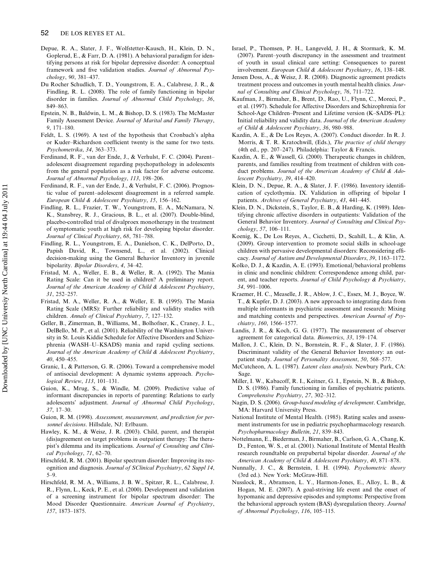- Depue, R. A., Slater, J. F., Wolfstetter-Kausch, H., Klein, D. N., Goplerud, E., & Farr, D. A. (1981). A behavioral paradigm for identifying persons at risk for bipolar depressive disorder: A conceptual framework and five validation studies. Journal of Abnormal Psychology, 90, 381–437.
- Du Rocher Schudlich, T. D., Youngstrom, E. A., Calabrese, J. R., & Findling, R. L. (2008). The role of family functioning in bipolar disorder in families. Journal of Abnormal Child Psychology, 36, 849–863.
- Epstein, N. B., Baldwin, L. M., & Bishop, D. S. (1983). The McMaster Family Assessment Device. Journal of Marital and Family Therapy, 9, 171–180.
- Feldt, L. S. (1969). A test of the hypothesis that Cronbach's alpha or Kuder–Richardson coefficient twenty is the same for two tests. Psychometrika, 34, 363–373.
- Ferdinand, R. F., van der Ende, J., & Verhulst, F. C. (2004). Parent– adolescent disagreement regarding psychopathology in adolescents from the general population as a risk factor for adverse outcome. Journal of Abnormal Psychology, 113, 198–206.
- Ferdinand, R. F., van der Ende, J., & Verhulst, F. C. (2006). Prognostic value of parent–adolescent disagreement in a referred sample. European Child & Adolescent Psychiatry, 15, 156–162.
- Findling, R. L., Frazier, T. W., Youngstrom, E. A., McNamara, N. K., Stansbrey, R. J., Gracious, B. L., et al. (2007). Double-blind, placebo-controlled trial of divalproex monotherapy in the treatment of symptomatic youth at high risk for developing bipolar disorder. Journal of Clinical Psychiatry, 68, 781–788.
- Findling, R. L., Youngstrom, E. A., Danielson, C. K., DelPorto, D., Papish David, R., Townsend, L., et al. (2002). Clinical decision-making using the General Behavior Inventory in juvenile bipolarity. Bipolar Disorders, 4, 34–42.
- Fristad, M. A., Weller, E. B., & Weller, R. A. (1992). The Mania Rating Scale: Can it be used in children? A preliminary report. Journal of the American Academy of Child & Adolescent Psychiatry, 31, 252–257.
- Fristad, M. A., Weller, R. A., & Weller, E. B. (1995). The Mania Rating Scale (MRS): Further reliability and validity studies with children. Annals of Clinical Psychiatry, 7, 127–132.
- Geller, B., Zimerman, B., Williams, M., Bolhofner, K., Craney, J. L., DelBello, M. P., et al. (2001). Reliability of the Washington University in St. Louis Kiddie Schedule for Affective Disorders and Schizophrenia (WASH–U–KSADS) mania and rapid cycling sections. Journal of the American Academy of Child & Adolescent Psychiatry, 40, 450–455.
- Granic, I., & Patterson, G. R. (2006). Toward a comprehensive model of antisocial development: A dynamic systems approach. Psychological Review, 113, 101–131.
- Guion, K., Mrug, S., & Windle, M. (2009). Predictive value of informant discrepancies in reports of parenting: Relations to early adolescents' adjustment. Journal of Abnormal Child Psychology, 37, 17–30.
- Guion, R. M. (1998). Assessment, measurement, and prediction for personnel decisions. Hillsdale, NJ: Erlbaum.
- Hawley, K. M., & Weisz, J. R. (2003). Child, parent, and therapist (dis)agreement on target problems in outpatient therapy: The therapist's dilemma and its implications. Journal of Consulting and Clinical Psychology, 71, 62–70.
- Hirschfeld, R. M. (2001). Bipolar spectrum disorder: Improving its recognition and diagnosis. Journal of SClinical Psychiatry, 62 Suppl 14, 5–9.
- Hirschfeld, R. M. A., Williams, J. B. W., Spitzer, R. L., Calabrese, J. R., Flynn, L., Keck, P. E., et al. (2000). Development and validation of a screening instrument for bipolar spectrum disorder: The Mood Disorder Questionnaire. American Journal of Psychiatry, 157, 1873–1875.
- Israel, P., Thomsen, P. H., Langeveld, J. H., & Stormark, K. M. (2007). Parent–youth discrepancy in the assessment and treatment of youth in usual clinical care setting: Consequences to parent involvement. European Child & Adolescent Psychiatry, 16, 138–148.
- Jensen Doss, A., & Weisz, J. R. (2008). Diagnostic agreement predicts treatment process and outcomes in youth mental health clinics. Journal of Consulting and Clinical Psychology, 76, 711–722.
- Kaufman, J., Birmaher, B., Brent, D., Rao, U., Flynn, C., Moreci, P., et al. (1997). Schedule for Affective Disorders and Schizophrenia for School-Age Children–Present and Lifetime version (K–SADS–PL): Initial reliability and validity data. Journal of the American Academy of Child & Adolescent Psychiatry, 36, 980–988.
- Kazdin, A. E., & De Los Reyes, A. (2007). Conduct disorder. In R. J. Morris, & T. R. Kratochwill, (Eds.), The practice of child therapy (4th ed., pp. 207–247). Philadelphia: Taylor & Francis.
- Kazdin, A. E., & Wassell, G. (2000). Therapeutic changes in children, parents, and families resulting from treatment of children with conduct problems. Journal of the American Academy of Child & Adolescent Psychiatry, 39, 414–420.
- Klein, D. N., Depue, R. A., & Slater, J. F. (1986). Inventory identification of cyclothymia. IX. Validation in offspring of bipolar I patients. Archives of General Psychiatry, 43, 441–445.
- Klein, D. N., Dickstein, S., Taylor, E. B., & Harding, K. (1989). Identifying chronic affective disorders in outpatients: Validation of the General Behavior Inventory. Journal of Consulting and Clinical Psychology, 57, 106–111.
- Koenig, K., De Los Reyes, A., Cicchetti, D., Scahill, L., & Klin, A. (2009). Group intervention to promote social skills in school-age children with pervasive developmental disorders: Reconsidering efficacy. Journal of Autism and Developmental Disorders, 39, 1163–1172.
- Kolko, D. J., & Kazdin, A. E. (1993). Emotional/behavioral problems in clinic and nonclinic children: Correspondence among child, parent, and teacher reports. Journal of Child Psychology & Psychiatry, 34, 991–1006.
- Kraemer, H. C., Measelle, J. R., Ablow, J. C., Essex, M. J., Boyce, W. T., & Kupfer, D. J. (2003). A new approach to integrating data from multiple informants in psychiatric assessment and research: Mixing and matching contexts and perspectives. American Journal of Psychiatry, 160, 1566–1577.
- Landis, J. R., & Koch, G. G. (1977). The measurement of observer agreement for categorical data. Biometrics, 33, 159–174.
- Mallon, J. C., Klein, D. N., Bornstein, R. F., & Slater, J. F. (1986). Discriminant validity of the General Behavior Inventory: an outpatient study. Journal of Personality Assessment, 50, 568–577.
- McCutcheon, A. L. (1987). Latent class analysis. Newbury Park, CA: Sage.
- Miller, I. W., Kabacoff, R. I., Keitner, G. I., Epstein, N. B., & Bishop, D. S. (1986). Family functioning in families of psychiatric patients. Comprehensive Psychiatry, 27, 302–312.
- Nagin, D. S. (2006). Group-based modeling of development. Cambridge, MA: Harvard University Press.
- National Institute of Mental Health. (1985). Rating scales and assessment instruments for use in pediatric psychopharmacology research. Psychopharmacology Bulletin, 21, 839–843.
- Nottelmann, E., Biederman, J., Birmaher, B., Carlson, G. A., Chang, K. D., Fenton, W. S., et al. (2001). National Institute of Mental Health research roundtable on prepubertal bipolar disorder. Journal of the American Academy of Child & Adolescent Psychiatry, 40, 871–878.
- Nunnally, J. C., & Bernstein, I. H. (1994). Psychometric theory (3rd ed.). New York: McGraw-Hill.
- Nusslock, R., Abramson, L. Y., Harmon-Jones, E., Alloy, L. B., & Hogan, M. E. (2007). A goal-striving life event and the onset of hypomanic and depressive episodes and symptoms: Perspective from the behavioral approach system (BAS) dysregulation theory. Journal of Abnormal Psychology, 116, 105–115.